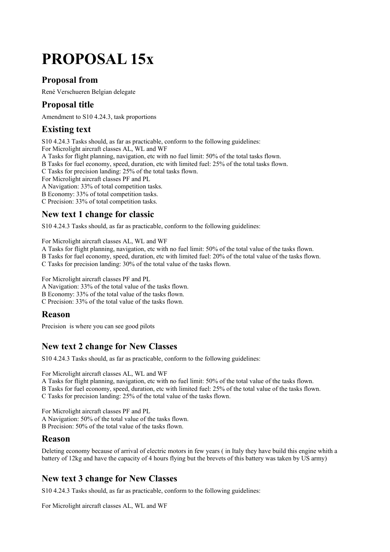# **PROPOSAL 15x**

#### **Proposal from**

René Verschueren Belgian delegate

### **Proposal title**

Amendment to S10 4.24.3, task proportions

# **Existing text**

S10 4.24.3 Tasks should, as far as practicable, conform to the following guidelines:

For Microlight aircraft classes AL, WL and WF

A Tasks for flight planning, navigation, etc with no fuel limit: 50% of the total tasks flown.

B Tasks for fuel economy, speed, duration, etc with limited fuel: 25% of the total tasks flown.

C Tasks for precision landing: 25% of the total tasks flown.

For Microlight aircraft classes PF and PL

A Navigation: 33% of total competition tasks.

B Economy: 33% of total competition tasks.

C Precision: 33% of total competition tasks.

#### **New text 1 change for classic**

S10 4.24.3 Tasks should, as far as practicable, conform to the following guidelines:

For Microlight aircraft classes AL, WL and WF

A Tasks for flight planning, navigation, etc with no fuel limit: 50% of the total value of the tasks flown.

B Tasks for fuel economy, speed, duration, etc with limited fuel: 20% of the total value of the tasks flown.

C Tasks for precision landing: 30% of the total value of the tasks flown.

For Microlight aircraft classes PF and PL

A Navigation: 33% of the total value of the tasks flown.

B Economy: 33% of the total value of the tasks flown.

C Precision: 33% of the total value of the tasks flown.

#### **Reason**

Precision is where you can see good pilots

### **New text 2 change for New Classes**

S10 4.24.3 Tasks should, as far as practicable, conform to the following guidelines:

For Microlight aircraft classes AL, WL and WF

A Tasks for flight planning, navigation, etc with no fuel limit: 50% of the total value of the tasks flown. B Tasks for fuel economy, speed, duration, etc with limited fuel: 25% of the total value of the tasks flown. C Tasks for precision landing: 25% of the total value of the tasks flown.

For Microlight aircraft classes PF and PL A Navigation: 50% of the total value of the tasks flown. B Precision: 50% of the total value of the tasks flown.

#### **Reason**

Deleting economy because of arrival of electric motors in few years ( in Italy they have build this engine whith a battery of 12kg and have the capacity of 4 hours flying but the brevets of this battery was taken by US army)

# **New text 3 change for New Classes**

S10 4.24.3 Tasks should, as far as practicable, conform to the following guidelines:

For Microlight aircraft classes AL, WL and WF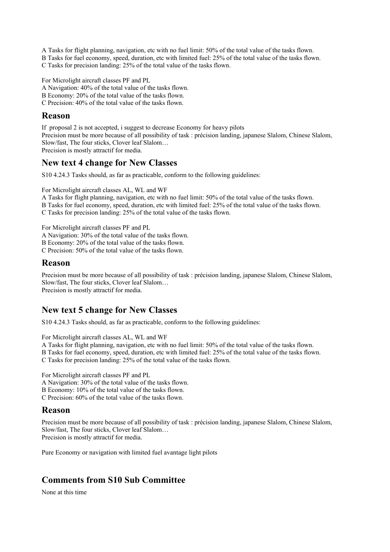A Tasks for flight planning, navigation, etc with no fuel limit: 50% of the total value of the tasks flown. B Tasks for fuel economy, speed, duration, etc with limited fuel: 25% of the total value of the tasks flown.

C Tasks for precision landing: 25% of the total value of the tasks flown.

For Microlight aircraft classes PF and PL A Navigation: 40% of the total value of the tasks flown.

B Economy: 20% of the total value of the tasks flown.

C Precision: 40% of the total value of the tasks flown.

#### **Reason**

If proposal 2 is not accepted, i suggest to decrease Economy for heavy pilots Precision must be more because of all possibility of task : précision landing, japanese Slalom, Chinese Slalom, Slow/fast, The four sticks, Clover leaf Slalom… Precision is mostly attractif for media.

#### **New text 4 change for New Classes**

S10 4.24.3 Tasks should, as far as practicable, conform to the following guidelines:

For Microlight aircraft classes AL, WL and WF

A Tasks for flight planning, navigation, etc with no fuel limit: 50% of the total value of the tasks flown.

B Tasks for fuel economy, speed, duration, etc with limited fuel: 25% of the total value of the tasks flown.

C Tasks for precision landing: 25% of the total value of the tasks flown.

For Microlight aircraft classes PF and PL

A Navigation: 30% of the total value of the tasks flown.

B Economy: 20% of the total value of the tasks flown.

C Precision: 50% of the total value of the tasks flown.

#### **Reason**

Precision must be more because of all possibility of task : précision landing, japanese Slalom, Chinese Slalom, Slow/fast, The four sticks, Clover leaf Slalom… Precision is mostly attractif for media.

#### **New text 5 change for New Classes**

S10 4.24.3 Tasks should, as far as practicable, conform to the following guidelines:

For Microlight aircraft classes AL, WL and WF

A Tasks for flight planning, navigation, etc with no fuel limit: 50% of the total value of the tasks flown. B Tasks for fuel economy, speed, duration, etc with limited fuel: 25% of the total value of the tasks flown. C Tasks for precision landing: 25% of the total value of the tasks flown.

For Microlight aircraft classes PF and PL

A Navigation: 30% of the total value of the tasks flown.

B Economy: 10% of the total value of the tasks flown.

C Precision: 60% of the total value of the tasks flown.

#### **Reason**

Precision must be more because of all possibility of task : précision landing, japanese Slalom, Chinese Slalom, Slow/fast, The four sticks, Clover leaf Slalom… Precision is mostly attractif for media.

Pure Economy or navigation with limited fuel avantage light pilots

### **Comments from S10 Sub Committee**

None at this time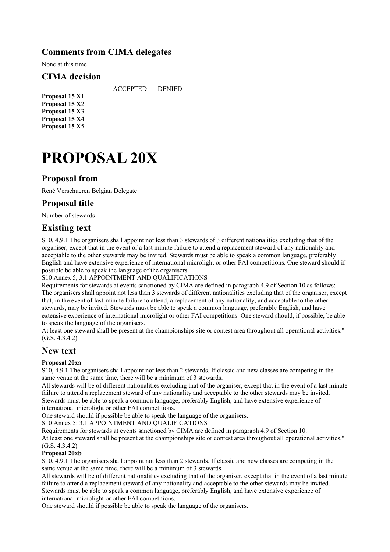#### **Comments from CIMA delegates**

None at this time

#### **CIMA decision**

ACCEPTED DENIED

**Proposal 15 X**1 **Proposal 15 X**2 **Proposal 15 X**3 **Proposal 15 X**4 **Proposal 15 X**5

# **PROPOSAL 20X**

#### **Proposal from**

René Verschueren Belgian Delegate

#### **Proposal title**

Number of stewards

#### **Existing text**

S10, 4.9.1 The organisers shall appoint not less than 3 stewards of 3 different nationalities excluding that of the organiser, except that in the event of a last minute failure to attend a replacement steward of any nationality and acceptable to the other stewards may be invited. Stewards must be able to speak a common language, preferably English and have extensive experience of international microlight or other FAI competitions. One steward should if possible be able to speak the language of the organisers.

S10 Annex 5, 3.1 APPOINTMENT AND QUALIFICATIONS

Requirements for stewards at events sanctioned by CIMA are defined in paragraph 4.9 of Section 10 as follows: The organisers shall appoint not less than 3 stewards of different nationalities excluding that of the organiser, except that, in the event of last-minute failure to attend, a replacement of any nationality, and acceptable to the other stewards, may be invited. Stewards must be able to speak a common language, preferably English, and have extensive experience of international microlight or other FAI competitions. One steward should, if possible, be able to speak the language of the organisers.

At least one steward shall be present at the championships site or contest area throughout all operational activities." (G.S. 4.3.4.2)

#### **New text**

#### **Proposal 20xa**

S10, 4.9.1 The organisers shall appoint not less than 2 stewards. If classic and new classes are competing in the same venue at the same time, there will be a minimum of 3 stewards.

All stewards will be of different nationalities excluding that of the organiser, except that in the event of a last minute failure to attend a replacement steward of any nationality and acceptable to the other stewards may be invited. Stewards must be able to speak a common language, preferably English, and have extensive experience of international microlight or other FAI competitions.

One steward should if possible be able to speak the language of the organisers.

S10 Annex 5: 3.1 APPOINTMENT AND QUALIFICATIONS

Requirements for stewards at events sanctioned by CIMA are defined in paragraph 4.9 of Section 10.

At least one steward shall be present at the championships site or contest area throughout all operational activities." (G.S. 4.3.4.2)

#### **Proposal 20xb**

S10, 4.9.1 The organisers shall appoint not less than 2 stewards. If classic and new classes are competing in the same venue at the same time, there will be a minimum of 3 stewards.

All stewards will be of different nationalities excluding that of the organiser, except that in the event of a last minute failure to attend a replacement steward of any nationality and acceptable to the other stewards may be invited. Stewards must be able to speak a common language, preferably English, and have extensive experience of international microlight or other FAI competitions.

One steward should if possible be able to speak the language of the organisers.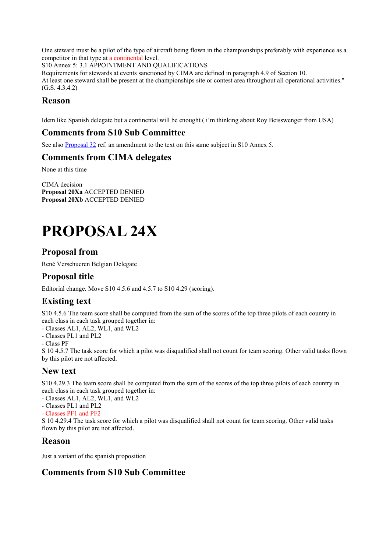One steward must be a pilot of the type of aircraft being flown in the championships preferably with experience as a competitor in that type at a continental level.

S10 Annex 5: 3.1 APPOINTMENT AND QUALIFICATIONS

Requirements for stewards at events sanctioned by CIMA are defined in paragraph 4.9 of Section 10. At least one steward shall be present at the championships site or contest area throughout all operational activities." (G.S. 4.3.4.2)

#### **Reason**

Idem like Spanish delegate but a continental will be enought ( i'm thinking about Roy Beisswenger from USA)

#### **Comments from S10 Sub Committee**

See also Proposal 32 ref. an amendment to the text on this same subject in S10 Annex 5.

#### **Comments from CIMA delegates**

None at this time

CIMA decision **Proposal 20Xa** ACCEPTED DENIED **Proposal 20Xb** ACCEPTED DENIED

# **PROPOSAL 24X**

#### **Proposal from**

René Verschueren Belgian Delegate

#### **Proposal title**

Editorial change. Move S10 4.5.6 and 4.5.7 to S10 4.29 (scoring).

# **Existing text**

S10 4.5.6 The team score shall be computed from the sum of the scores of the top three pilots of each country in each class in each task grouped together in:

- Classes AL1, AL2, WL1, and WL2

- Classes PL1 and PL2
- Class PF

S 10 4.5.7 The task score for which a pilot was disqualified shall not count for team scoring. Other valid tasks flown by this pilot are not affected.

#### **New text**

S10 4.29.3 The team score shall be computed from the sum of the scores of the top three pilots of each country in each class in each task grouped together in:

- Classes AL1, AL2, WL1, and WL2

- Classes PL1 and PL2

- Classes PF1 and PF2

S 10 4.29.4 The task score for which a pilot was disqualified shall not count for team scoring. Other valid tasks flown by this pilot are not affected.

#### **Reason**

Just a variant of the spanish proposition

#### **Comments from S10 Sub Committee**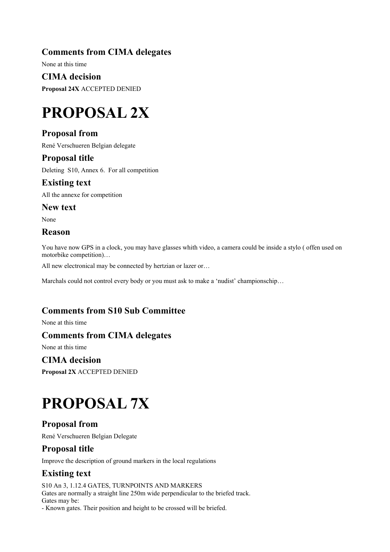#### **Comments from CIMA delegates**

None at this time

**CIMA decision Proposal 24X** ACCEPTED DENIED

# **PROPOSAL 2X**

### **Proposal from**

René Verschueren Belgian delegate

#### **Proposal title**

Deleting S10, Annex 6. For all competition

**Existing text** 

All the annexe for competition

**New text** 

None

#### **Reason**

You have now GPS in a clock, you may have glasses whith video, a camera could be inside a stylo ( offen used on motorbike competition)…

All new electronical may be connected by hertzian or lazer or...

Marchals could not control every body or you must ask to make a 'nudist' championschip…

#### **Comments from S10 Sub Committee**

None at this time

#### **Comments from CIMA delegates**

None at this time

#### **CIMA decision**

**Proposal 2X** ACCEPTED DENIED

# **PROPOSAL 7X**

### **Proposal from**

René Verschueren Belgian Delegate

#### **Proposal title**

Improve the description of ground markers in the local regulations

# **Existing text**

S10 An 3, 1.12.4 GATES, TURNPOINTS AND MARKERS Gates are normally a straight line 250m wide perpendicular to the briefed track. Gates may be:

- Known gates. Their position and height to be crossed will be briefed.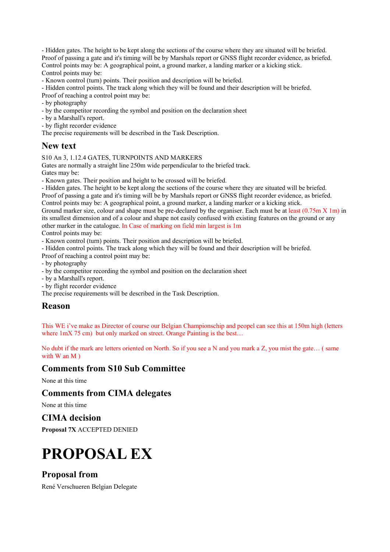- Hidden gates. The height to be kept along the sections of the course where they are situated will be briefed. Proof of passing a gate and it's timing will be by Marshals report or GNSS flight recorder evidence, as briefed. Control points may be: A geographical point, a ground marker, a landing marker or a kicking stick. Control points may be:

- Known control (turn) points. Their position and description will be briefed.

- Hidden control points. The track along which they will be found and their description will be briefed.

Proof of reaching a control point may be:

- by photography
- by the competitor recording the symbol and position on the declaration sheet
- by a Marshall's report.
- by flight recorder evidence

The precise requirements will be described in the Task Description.

#### **New text**

#### S10 An 3, 1.12.4 GATES, TURNPOINTS AND MARKERS

Gates are normally a straight line 250m wide perpendicular to the briefed track. Gates may be:

- Known gates. Their position and height to be crossed will be briefed.

- Hidden gates. The height to be kept along the sections of the course where they are situated will be briefed.

Proof of passing a gate and it's timing will be by Marshals report or GNSS flight recorder evidence, as briefed. Control points may be: A geographical point, a ground marker, a landing marker or a kicking stick.

Ground marker size, colour and shape must be pre-declared by the organiser. Each must be at least (0.75m X 1m) in its smallest dimension and of a colour and shape not easily confused with existing features on the ground or any other marker in the catalogue. In Case of marking on field min largest is 1m

Control points may be:

- Known control (turn) points. Their position and description will be briefed.

- Hidden control points. The track along which they will be found and their description will be briefed.

Proof of reaching a control point may be:

- by photography

- by the competitor recording the symbol and position on the declaration sheet
- by a Marshall's report.
- by flight recorder evidence

The precise requirements will be described in the Task Description.

#### **Reason**

This WE i've make as Director of course our Belgian Championschip and peopel can see this at 150m high (letters where  $1mX$  75 cm) but only marked on street. Orange Painting is the best...

No dubt if the mark are letters oriented on North. So if you see a N and you mark a Z, you mist the gate… ( same with W an M  $)$ 

#### **Comments from S10 Sub Committee**

None at this time

#### **Comments from CIMA delegates**

None at this time

**CIMA decision** 

**Proposal 7X** ACCEPTED DENIED

# **PROPOSAL EX**

#### **Proposal from**

René Verschueren Belgian Delegate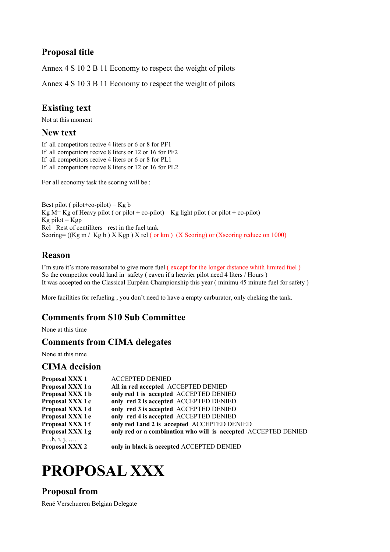### **Proposal title**

Annex 4 S 10 2 B 11 Economy to respect the weight of pilots

Annex 4 S 10 3 B 11 Economy to respect the weight of pilots

### **Existing text**

Not at this moment

#### **New text**

If all competitors recive 4 liters or 6 or 8 for PF1 If all competitors recive 8 liters or 12 or 16 for PF2 If all competitors recive 4 liters or 6 or 8 for PL1 If all competitors recive 8 liters or 12 or 16 for PL2

For all economy task the scoring will be :

Best pilot (  $pilot+co-pilot$ ) = Kg b Kg  $\overline{M}$  = Kg of Heavy pilot ( or pilot + co-pilot) – Kg light pilot ( or pilot + co-pilot)  $Kg$  pilot =  $Kgp$  $Rc$ = Rest of centiliters= rest in the fuel tank Scoring=  $((Kg m / Kg b) X Kgp) X rel (or km) (X Scoring) or (Xscoring reduce on 1000)$ 

#### **Reason**

I'm sure it's more reasonabel to give more fuel ( except for the longer distance whith limited fuel ) So the competitor could land in safety ( eaven if a heavier pilot need 4 liters / Hours ) It was accepted on the Classical Eurpéan Championship this year ( minimu 45 minute fuel for safety )

More facilities for refueling , you don't need to have a empty carburator, only cheking the tank.

#### **Comments from S10 Sub Committee**

None at this time

#### **Comments from CIMA delegates**

None at this time

#### **CIMA decision**

| Proposal XXX 1              | <b>ACCEPTED DENIED</b>                                         |
|-----------------------------|----------------------------------------------------------------|
| Proposal XXX 1 a            | All in red accepted ACCEPTED DENIED                            |
| Proposal XXX 1b             | only red 1 is accepted ACCEPTED DENIED                         |
| Proposal XXX 1 c            | only red 2 is accepted ACCEPTED DENIED                         |
| Proposal XXX 1d             | only red 3 is accepted ACCEPTED DENIED                         |
| Proposal XXX 1 e            | only red 4 is accepted ACCEPTED DENIED                         |
| Proposal XXX 1f             | only red 1and 2 is accepted ACCEPTED DENIED                    |
| Proposal XXX 1g<br>h, i, j, | only red or a combination who will is accepted ACCEPTED DENIED |
| Proposal XXX 2              | only in black is accepted ACCEPTED DENIED                      |

# **PROPOSAL XXX**

#### **Proposal from**

René Verschueren Belgian Delegate